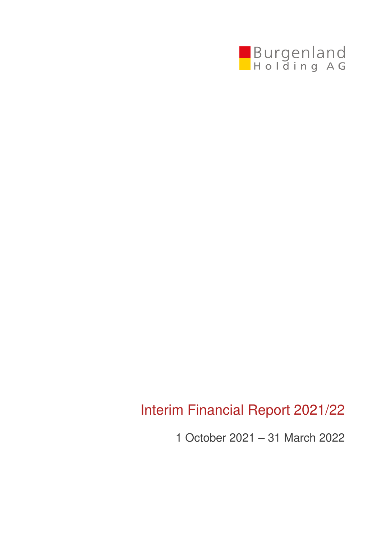

# Interim Financial Report 2021/22

1 October 2021 – 31 March 2022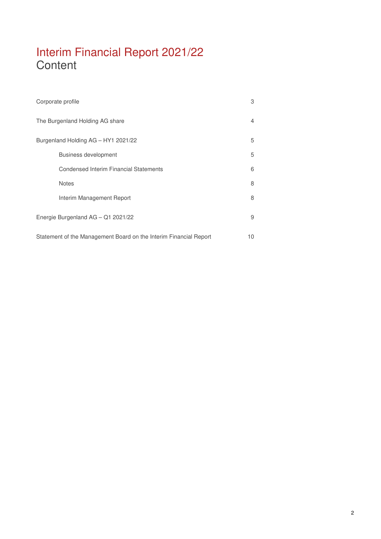# Interim Financial Report 2021/22 **Content**

| Corporate profile                                                 | 3  |
|-------------------------------------------------------------------|----|
| The Burgenland Holding AG share                                   | 4  |
| Burgenland Holding AG - HY1 2021/22                               | 5  |
| <b>Business development</b>                                       | 5  |
| <b>Condensed Interim Financial Statements</b>                     | 6  |
| <b>Notes</b>                                                      | 8  |
| Interim Management Report                                         | 8  |
| Energie Burgenland AG - Q1 2021/22                                | 9  |
| Statement of the Management Board on the Interim Financial Report | 10 |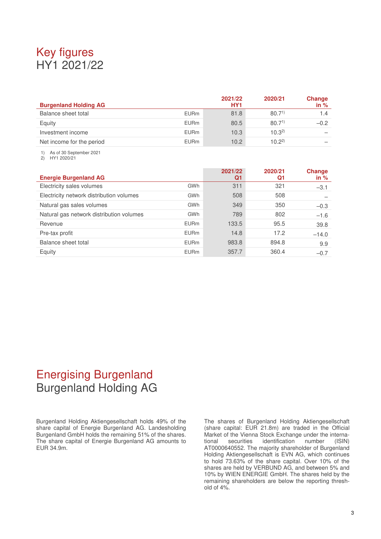# Key figures HY1 2021/22

| <b>Burgenland Holding AG</b> |             | 2021/22<br>HY <sub>1</sub> | 2020/21           | Change<br>in $%$ |
|------------------------------|-------------|----------------------------|-------------------|------------------|
| Balance sheet total          | <b>EURm</b> | 81.8                       | 80.7 <sup>1</sup> | 1.4              |
| Equity                       | <b>EURm</b> | 80.5                       | 80.7 <sup>1</sup> | $-0.2$           |
| Investment income            | <b>EURm</b> | 10.3                       | $10.3^{2}$        |                  |
| Net income for the period    | <b>EURm</b> | 10.2                       | $10.2^{2}$        |                  |

1) As of 30 September 2021

2) HY1 2020/21

| <b>Energie Burgenland AG</b>             |             | 2021/22<br>Q1 | 2020/21<br>Q1 | Change<br>in $%$ |
|------------------------------------------|-------------|---------------|---------------|------------------|
| Electricity sales volumes                | GWh         | 311           | 321           | $-3.1$           |
| Electricity network distribution volumes | GWh         | 508           | 508           |                  |
| Natural gas sales volumes                | GWh         | 349           | 350           | $-0.3$           |
| Natural gas network distribution volumes | GWh         | 789           | 802           | $-1.6$           |
| Revenue                                  | <b>EURm</b> | 133.5         | 95.5          | 39.8             |
| Pre-tax profit                           | <b>EURm</b> | 14.8          | 17.2          | $-14.0$          |
| Balance sheet total                      | <b>EURm</b> | 983.8         | 894.8         | 9.9              |
| Equity                                   | <b>EURm</b> | 357.7         | 360.4         | $-0.7$           |

# Energising Burgenland Burgenland Holding AG

Burgenland Holding Aktiengesellschaft holds 49% of the share capital of Energie Burgenland AG. Landesholding Burgenland GmbH holds the remaining 51% of the shares. The share capital of Energie Burgenland AG amounts to EUR 34.9m.

The shares of Burgenland Holding Aktiengesellschaft (share capital: EUR 21.8m) are traded in the Official Market of the Vienna Stock Exchange under the international securities identification number (ISIN) AT0000640552. The majority shareholder of Burgenland Holding Aktiengesellschaft is EVN AG, which continues to hold 73.63% of the share capital. Over 10% of the shares are held by VERBUND AG, and between 5% and 10% by WIEN ENERGIE GmbH. The shares held by the remaining shareholders are below the reporting threshold of 4%.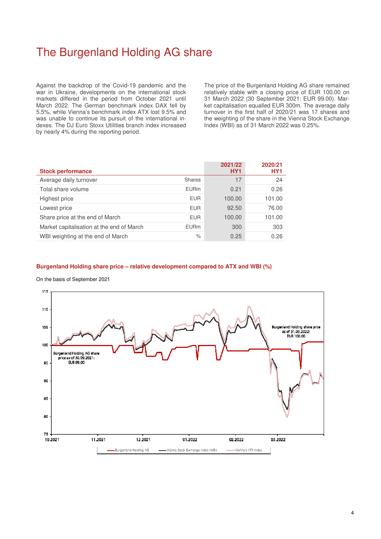# The Burgenland Holding AG share

Against the backdrop of the Covid-19 pandemic and the war in Ukraine, developments on the international stock markets differed in the period from October 2021 until March 2022. The German benchmark index DAX fell by 5.5%, while Vienna's benchmark index ATX lost 9.5% and was unable to continue its pursuit of the international indexes. The DJ Euro Stoxx Utilities branch index increased by nearly 4% during the reporting period.

The price of the Burgenland Holding AG share remained relatively stable with a closing price of EUR 100.00 on 31 March 2022 (30 September 2021: EUR 99.00). Market capitalisation equalled EUR 300m. The average daily turnover in the first half of 2020/21 was 17 shares and the weighting of the share in the Vienna Stock Exchange Index (WBI) as of 31 March 2022 was 0.25%.

| <b>Stock performance</b>                  |               | 2021/22<br>HY <sub>1</sub> | 2020/21<br>HY <sub>1</sub> |
|-------------------------------------------|---------------|----------------------------|----------------------------|
| Average daily turnover                    | <b>Shares</b> | 17                         | 24                         |
| Total share volume                        | <b>EURm</b>   | 0.21                       | 0.26                       |
| Highest price                             | <b>EUR</b>    | 100.00                     | 101.00                     |
| Lowest price                              | <b>EUR</b>    | 92.50                      | 76.00                      |
| Share price at the end of March           | <b>EUR</b>    | 100.00                     | 101.00                     |
| Market capitalisation at the end of March | <b>EURm</b>   | 300                        | 303                        |
| WBI weighting at the end of March         | $\%$          | 0.25                       | 0.26                       |

### **Burgenland Holding share price – relative development compared to ATX and WBI (%)**

#### On the basis of September 2021

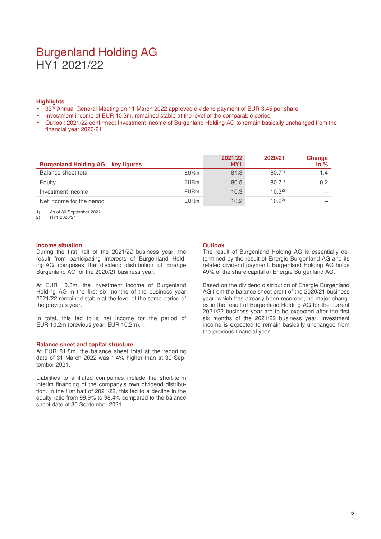### Burgenland Holding AG HY1 2021/22

### **Highlights**

- 33rd Annual General Meeting on 11 March 2022 approved dividend payment of EUR 3.45 per share
- Investment income of EUR 10.3m, remained stable at the level of the comparable period
- Outlook 2021/22 confirmed: Investment income of Burgenland Holding AG to remain basically unchanged from the financial year 2020/21

| <b>Burgenland Holding AG - key figures</b> |             | 2021/22<br>HY <sub>1</sub> | 2020/21           | Change<br>in $%$ |
|--------------------------------------------|-------------|----------------------------|-------------------|------------------|
| Balance sheet total                        | <b>EURm</b> | 81.8                       | 80.7 <sup>1</sup> | 1.4              |
| Equity                                     | <b>EURm</b> | 80.5                       | 80.7 <sup>1</sup> | $-0.2$           |
| Investment income                          | <b>EURm</b> | 10.3                       | $10.3^{2}$        |                  |
| Net income for the period                  | <b>EURm</b> | 10.2                       | $10.2^{2}$        |                  |

1) As of 30 September 2021

2) HY1 2020/21

#### **Income situation**

During the first half of the 2021/22 business year, the result from participating interests of Burgenland Holding AG comprises the dividend distribution of Energie Burgenland AG for the 2020/21 business year.

At EUR 10.3m, the investment income of Burgenland Holding AG in the first six months of the business year 2021/22 remained stable at the level of the same period of the previous year.

In total, this led to a net income for the period of EUR 10.2m (previous year: EUR 10.2m).

#### **Balance sheet and capital structure**

At EUR 81.8m, the balance sheet total at the reporting date of 31 March 2022 was 1.4% higher than at 30 September 2021.

Liabilities to affiliated companies include the short-term interim financing of the company's own dividend distribution. In the first half of 2021/22, this led to a decline in the equity ratio from 99.9% to 98.4% compared to the balance sheet date of 30 September 2021.

#### **Outlook**

The result of Burgenland Holding AG is essentially determined by the result of Energie Burgenland AG and its related dividend payment. Burgenland Holding AG holds 49% of the share capital of Energie Burgenland AG.

Based on the dividend distribution of Energie Burgenland AG from the balance sheet profit of the 2020/21 business year, which has already been recorded, no major changes in the result of Burgenland Holding AG for the current 2021/22 business year are to be expected after the first six months of the 2021/22 business year. Investment income is expected to remain basically unchanged from the previous financial year.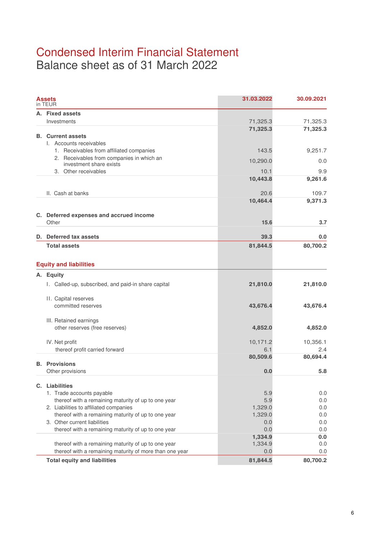## Condensed Interim Financial Statement Balance sheet as of 31 March 2022

|    | Assets                                                  | 31.03.2022 | 30.09.2021 |
|----|---------------------------------------------------------|------------|------------|
| А. | <b>Fixed assets</b>                                     |            |            |
|    | Investments                                             | 71,325.3   | 71,325.3   |
|    | <b>B.</b> Current assets<br>I. Accounts receivables     | 71,325.3   | 71,325.3   |
|    | 1. Receivables from affiliated companies                | 143.5      | 9,251.7    |
|    | 2. Receivables from companies in which an               | 10,290.0   | 0.0        |
|    | investment share exists<br>3. Other receivables         | 10.1       | 9.9        |
|    |                                                         | 10,443.8   | 9,261.6    |
|    |                                                         |            |            |
|    | II. Cash at banks                                       | 20.6       | 109.7      |
|    |                                                         | 10,464.4   | 9,371.3    |
|    | C. Deferred expenses and accrued income                 |            |            |
|    | Other                                                   | 15.6       | 3.7        |
|    | D. Deferred tax assets                                  | 39.3       | 0.0        |
|    | <b>Total assets</b>                                     | 81,844.5   | 80,700.2   |
|    | <b>Equity and liabilities</b>                           |            |            |
|    |                                                         |            |            |
|    | A. Equity                                               |            |            |
|    | I. Called-up, subscribed, and paid-in share capital     | 21,810.0   | 21,810.0   |
|    | II. Capital reserves<br>committed reserves              | 43,676.4   | 43,676.4   |
|    |                                                         |            |            |
|    | III. Retained earnings                                  |            |            |
|    | other reserves (free reserves)                          | 4,852.0    | 4,852.0    |
|    | IV. Net profit                                          | 10,171.2   | 10,356.1   |
|    | thereof profit carried forward                          | 6.1        | 2.4        |
|    | <b>B.</b> Provisions                                    | 80,509.6   | 80,694.4   |
|    | Other provisions                                        | 0.0        | 5.8        |
|    | C. Liabilities                                          |            |            |
|    | 1. Trade accounts payable                               | 5.9        | 0.0        |
|    | thereof with a remaining maturity of up to one year     | 5.9        | 0.0        |
|    | 2. Liabilities to affiliated companies                  | 1,329.0    | 0.0        |
|    | thereof with a remaining maturity of up to one year     | 1,329.0    | 0.0        |
|    | 3. Other current liabilities                            | 0.0        | 0.0        |
|    | thereof with a remaining maturity of up to one year     | 0.0        | 0.0        |
|    |                                                         | 1,334.9    | 0.0        |
|    | thereof with a remaining maturity of up to one year     | 1,334.9    | 0.0        |
|    | thereof with a remaining maturity of more than one year | 0.0        | 0.0        |
|    | <b>Total equity and liabilities</b>                     | 81,844.5   | 80,700.2   |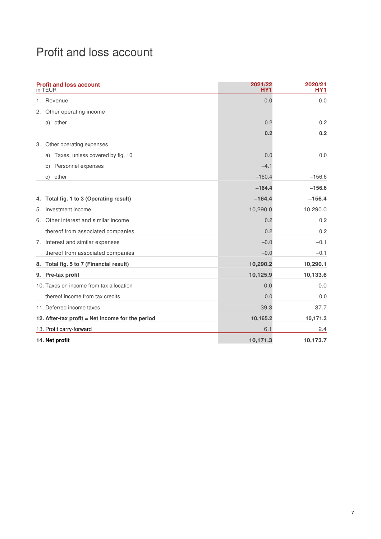# Profit and loss account

|    | <b>Profit and loss account</b><br>in TEUR        | 2021/22<br>HY1 | 2020/21<br>HY1 |
|----|--------------------------------------------------|----------------|----------------|
|    | 1. Revenue                                       | 0.0            | 0.0            |
| 2. | Other operating income                           |                |                |
|    | a) other                                         | 0.2            | 0.2            |
|    |                                                  | 0.2            | 0.2            |
| 3. | Other operating expenses                         |                |                |
|    | Taxes, unless covered by fig. 10<br>a)           | 0.0            | 0.0            |
|    | Personnel expenses<br>b)                         | $-4.1$         |                |
|    | other<br>C)                                      | $-160.4$       | $-156.6$       |
|    |                                                  | $-164.4$       | $-156.6$       |
| 4. | Total fig. 1 to 3 (Operating result)             | $-164.4$       | $-156.4$       |
| 5. | Investment income                                | 10,290.0       | 10,290.0       |
|    | 6. Other interest and similar income             | 0.2            | 0.2            |
|    | thereof from associated companies                | 0.2            | 0.2            |
|    | 7. Interest and similar expenses                 | $-0.0$         | $-0.1$         |
|    | thereof from associated companies                | $-0.0$         | $-0.1$         |
| 8. | Total fig. 5 to 7 (Financial result)             | 10,290.2       | 10,290.1       |
|    | 9. Pre-tax profit                                | 10,125.9       | 10,133.6       |
|    | 10. Taxes on income from tax allocation          | 0.0            | 0.0            |
|    | thereof income from tax credits                  | 0.0            | 0.0            |
|    | 11. Deferred income taxes                        | 39.3           | 37.7           |
|    | 12. After-tax profit = Net income for the period | 10,165.2       | 10,171.3       |
|    | 13. Profit carry-forward                         | 6.1            | 2.4            |
|    | 14. Net profit                                   | 10,171.3       | 10,173.7       |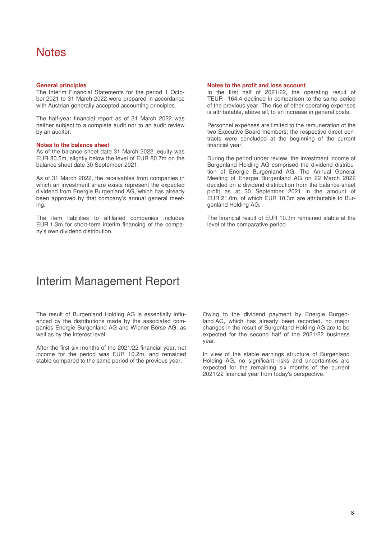### **Notes**

#### **General principles**

The Interim Financial Statements for the period 1 October 2021 to 31 March 2022 were prepared in accordance with Austrian generally accepted accounting principles.

The half-year financial report as of 31 March 2022 was neither subject to a complete audit nor to an audit review by an auditor.

#### **Notes to the balance sheet**

As of the balance sheet date 31 March 2022, equity was EUR 80.5m, slightly below the level of EUR 80.7m on the balance sheet date 30 September 2021.

As of 31 March 2022, the receivables from companies in which an investment share exists represent the expected dividend from Energie Burgenland AG, which has already been approved by that company's annual general meeting.

The item liabilities to affiliated companies includes EUR 1.3m for short-term interim financing of the company's own dividend distribution.

#### **Notes to the profit and loss account**

In the first half of 2021/22, the operating result of TEUR –164.4 declined in comparison to the same period of the previous year. The rise of other operating expenses is attributable, above all, to an increase in general costs.

Personnel expenses are limited to the remuneration of the two Executive Board members; the respective direct contracts were concluded at the beginning of the current financial year.

During the period under review, the investment income of Burgenland Holding AG comprised the dividend distribution of Energie Burgenland AG. The Annual General Meeting of Energie Burgenland AG on 22 March 2022 decided on a dividend distribution from the balance-sheet profit as at 30 September 2021 in the amount of EUR 21.0m, of which EUR 10.3m are attributable to Burgenland Holding AG.

The financial result of EUR 10.3m remained stable at the level of the comparative period.

### Interim Management Report

The result of Burgenland Holding AG is essentially influenced by the distributions made by the associated companies Energie Burgenland AG and Wiener Börse AG, as well as by the interest level.

After the first six months of the 2021/22 financial year, net income for the period was EUR 10.2m, and remained stable compared to the same period of the previous year.

Owing to the dividend payment by Energie Burgenland AG, which has already been recorded, no major changes in the result of Burgenland Holding AG are to be expected for the second half of the 2021/22 business year.

In view of the stable earnings structure of Burgenland Holding AG, no significant risks and uncertainties are expected for the remaining six months of the current 2021/22 financial year from today's perspective.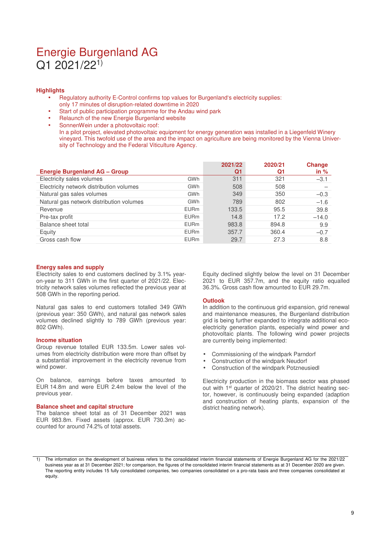### Energie Burgenland AG Q1 2021/221)

#### **Highlights**

- Regulatory authority E-Control confirms top values for Burgenland's electricity supplies:
- only 17 minutes of disruption-related downtime in 2020
- Start of public participation programme for the Andau wind park
- Relaunch of the new Energie Burgenland website

SonnenWein under a photovoltaic roof: In a pilot project, elevated photovoltaic equipment for energy generation was installed in a Liegenfeld Winery vineyard. This twofold use of the area and the impact on agriculture are being monitored by the Vienna University of Technology and the Federal Viticulture Agency.

|                                          |             | 2021/22 | 2020/21 | <b>Change</b> |
|------------------------------------------|-------------|---------|---------|---------------|
| <b>Energie Burgenland AG - Group</b>     |             | Q1      | Q1      | in $%$        |
| Electricity sales volumes                | GWh         | 311     | 321     | $-3.1$        |
| Electricity network distribution volumes | <b>GWh</b>  | 508     | 508     |               |
| Natural gas sales volumes                | GWh         | 349     | 350     | $-0.3$        |
| Natural gas network distribution volumes | GWh         | 789     | 802     | $-1.6$        |
| Revenue                                  | <b>EURm</b> | 133.5   | 95.5    | 39.8          |
| Pre-tax profit                           | <b>EURm</b> | 14.8    | 17.2    | $-14.0$       |
| Balance sheet total                      | <b>EURm</b> | 983.8   | 894.8   | 9.9           |
| Equity                                   | <b>EURm</b> | 357.7   | 360.4   | $-0.7$        |
| Gross cash flow                          | <b>EURm</b> | 29.7    | 27.3    | 8.8           |

#### **Energy sales and supply**

Electricity sales to end customers declined by 3.1% yearon-year to 311 GWh in the first quarter of 2021/22. Electricity network sales volumes reflected the previous year at 508 GWh in the reporting period.

Natural gas sales to end customers totalled 349 GWh (previous year: 350 GWh), and natural gas network sales volumes declined slightly to 789 GWh (previous year: 802 GWh).

#### **Income situation**

Group revenue totalled EUR 133.5m. Lower sales volumes from electricity distribution were more than offset by a substantial improvement in the electricity revenue from wind power.

On balance, earnings before taxes amounted to EUR 14.8m and were EUR 2.4m below the level of the previous year.

#### **Balance sheet and capital structure**

The balance sheet total as of 31 December 2021 was EUR 983.8m. Fixed assets (approx. EUR 730.3m) accounted for around 74.2% of total assets.

Equity declined slightly below the level on 31 December 2021 to EUR 357.7m, and the equity ratio equalled 36.3%. Gross cash flow amounted to EUR 29.7m.

#### **Outlook**

In addition to the continuous grid expansion, grid renewal and maintenance measures, the Burgenland distribution grid is being further expanded to integrate additional ecoelectricity generation plants, especially wind power and photovoltaic plants. The following wind power projects are currently being implemented:

- Commissioning of the windpark Parndorf
- Construction of the windpark Neudorf
- Construction of the windpark Potzneusiedl

Electricity production in the biomass sector was phased out with 1<sup>st</sup> quarter of 2020/21. The district heating sector, however, is continuously being expanded (adaption and construction of heating plants, expansion of the district heating network).

<sup>1)</sup> The information on the development of business refers to the consolidated interim financial statements of Energie Burgenland AG for the 2021/22 business year as at 31 December 2021; for comparison, the figures of the consolidated interim financial statements as at 31 December 2020 are given. The reporting entity includes 15 fully consolidated companies, two companies consolidated on a pro-rata basis and three companies consolidated at equity.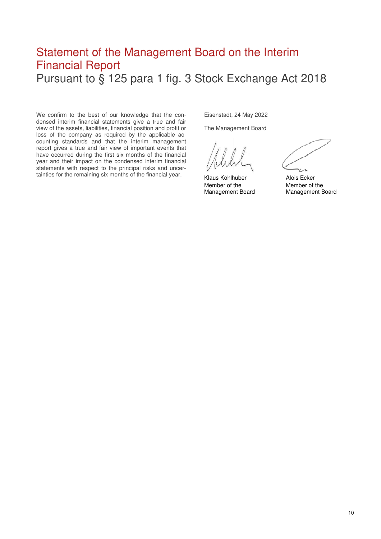### Statement of the Management Board on the Interim Financial Report Pursuant to § 125 para 1 fig. 3 Stock Exchange Act 2018

We confirm to the best of our knowledge that the condensed interim financial statements give a true and fair view of the assets, liabilities, financial position and profit or loss of the company as required by the applicable accounting standards and that the interim management report gives a true and fair view of important events that have occurred during the first six months of the financial year and their impact on the condensed interim financial statements with respect to the principal risks and uncertainties for the remaining six months of the financial year.

Eisenstadt, 24 May 2022

The Management Board

Klaus Kohlhuber **Alois Ecker** Member of the Member of the

Management Board Management Board